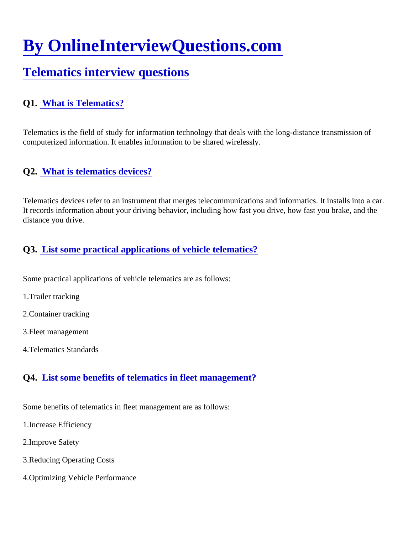# [By OnlineInterviewQuestions.com](https://www.onlineinterviewquestions.com/)

## [Telematics interview question](https://www.onlineinterviewquestions.com/telematics-interview-questions/)s

### Q1. [What is Telematics?](https://www.onlineinterviewquestions.com/what-is-telematics/)

Telematics is the field of study for information technology that deals with the long-distance transmission of computerized information. It enables information to be shared wirelessly.

#### Q2. [What is telematics devices](https://www.onlineinterviewquestions.com/what-is-telematics-devices/)?

Telematics devices refer to an instrument that merges telecommunications and informatics. It installs into a ca It records information about your driving behavior, including how fast you drive, how fast you brake, and the distance you drive.

#### Q3. [List some practical applications of vehicle telematics](https://www.onlineinterviewquestions.com/list-some-practical-applications-of-vehicle-telematics/)?

Some practical applications of vehicle telematics are as follows:

- 1.Trailer tracking
- 2.Container tracking
- 3.Fleet management
- 4.Telematics Standards

#### Q4. [List some benefits of telematics in fleet managemen](https://www.onlineinterviewquestions.com/list-some-benefits-of-telematics-in-fleet-management/)t?

Some benefits of telematics in fleet management are as follows:

- 1.Increase Efficiency
- 2.Improve Safety
- 3.Reducing Operating Costs
- 4.Optimizing Vehicle Performance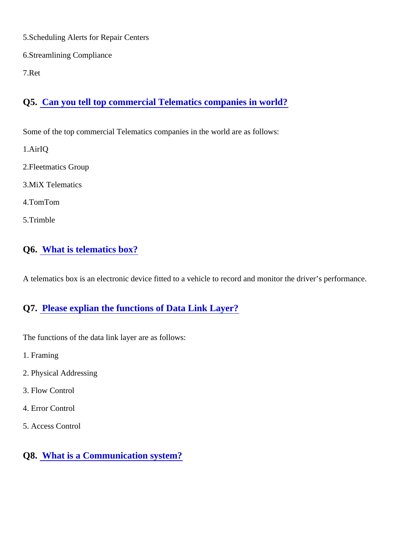- 5.Scheduling Alerts for Repair Centers
- 6.Streamlining Compliance
- 7.Ret

Q5. [Can you tell top commercial Telematics companies in world](https://www.onlineinterviewquestions.com/can-you-tell-top-commercial-telematics-companies-in-world/)?

Some of the top commercial Telematics companies in the world are as follows:

- 1.AirIQ
- 2.Fleetmatics Group
- 3.MiX Telematics
- 4.TomTom
- 5.Trimble
- Q6. [What is telematics box?](https://www.onlineinterviewquestions.com/what-is-telematics-box/)

A telematics box is an electronic device fitted to a vehicle to record and monitor the driver's performance.

#### Q7. [Please explian the functions of Data Link Layer?](https://www.onlineinterviewquestions.com/please-explian-the-functions-of-data-link-layer/)

The functions of the data link layer are as follows:

- 1. Framing
- 2. Physical Addressing
- 3. Flow Control
- 4. Error Control
- 5. Access Control
- Q8. [What is a Communication system?](https://www.onlineinterviewquestions.com/what-is-a-communication-system/)